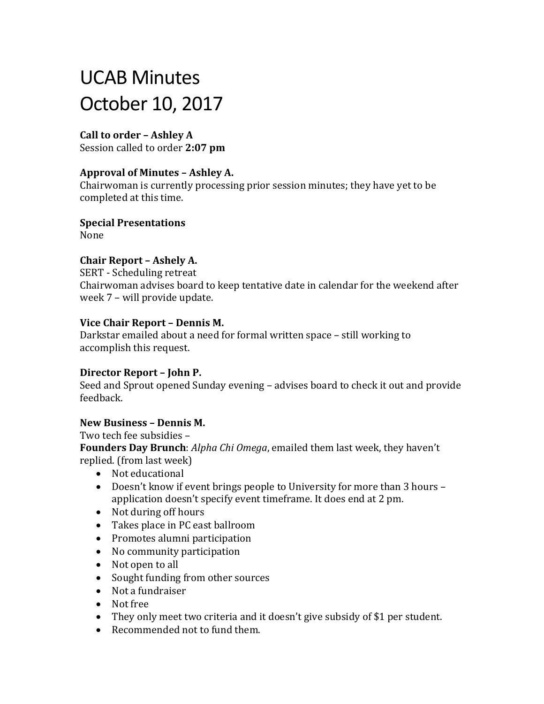# UCAB Minutes October 10, 2017

# **Call to order – Ashley A**

Session called to order **2:07 pm**

## **Approval of Minutes – Ashley A.**

Chairwoman is currently processing prior session minutes; they have yet to be completed at this time.

**Special Presentations**  None

# **Chair Report – Ashely A.**

SERT - Scheduling retreat Chairwoman advises board to keep tentative date in calendar for the weekend after week 7 – will provide update.

#### **Vice Chair Report – Dennis M.**

Darkstar emailed about a need for formal written space – still working to accomplish this request.

## **Director Report – John P.**

Seed and Sprout opened Sunday evening – advises board to check it out and provide feedback.

## **New Business – Dennis M.**

Two tech fee subsidies –

**Founders Day Brunch**: *Alpha Chi Omega*, emailed them last week, they haven't replied. (from last week)

- Not educational
- Doesn't know if event brings people to University for more than 3 hours application doesn't specify event timeframe. It does end at 2 pm.
- Not during off hours
- Takes place in PC east ballroom
- Promotes alumni participation
- No community participation
- Not open to all
- Sought funding from other sources
- Not a fundraiser
- Not free
- They only meet two criteria and it doesn't give subsidy of \$1 per student.
- Recommended not to fund them.